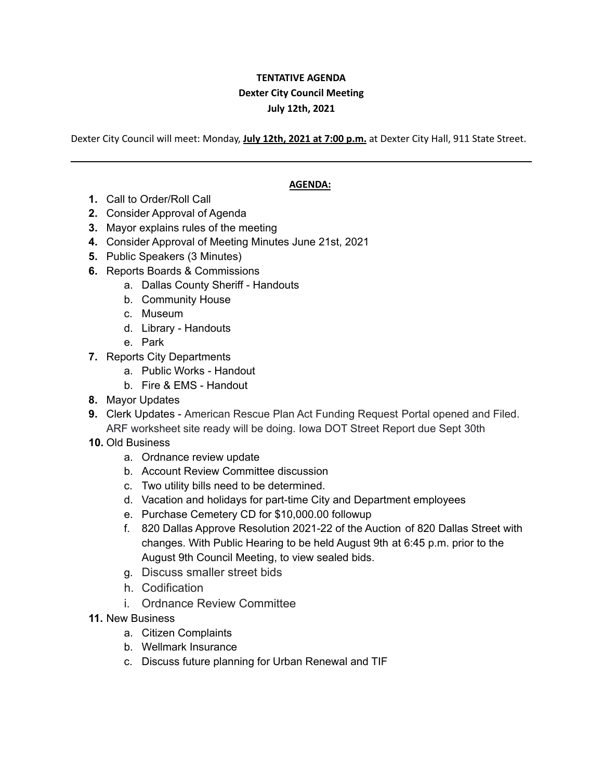## **TENTATIVE AGENDA Dexter City Council Meeting July 12th, 2021**

Dexter City Council will meet: Monday, **July 12th, 2021 at 7:00 p.m.** at Dexter City Hall, 911 State Street.

## **AGENDA:**

- **1.** Call to Order/Roll Call
- **2.** Consider Approval of Agenda
- **3.** Mayor explains rules of the meeting
- **4.** Consider Approval of Meeting Minutes June 21st, 2021
- **5.** Public Speakers (3 Minutes)
- **6.** Reports Boards & Commissions
	- a. Dallas County Sheriff Handouts
	- b. Community House
	- c. Museum
	- d. Library Handouts
	- e. Park
- **7.** Reports City Departments
	- a. Public Works Handout
	- b. Fire & EMS Handout
- **8.** Mayor Updates
- **9.** Clerk Updates American Rescue Plan Act Funding Request Portal opened and Filed. ARF worksheet site ready will be doing. Iowa DOT Street Report due Sept 30th
- **10.** Old Business
	- a. Ordnance review update
	- b. Account Review Committee discussion
	- c. Two utility bills need to be determined.
	- d. Vacation and holidays for part-time City and Department employees
	- e. Purchase Cemetery CD for \$10,000.00 followup
	- f. 820 Dallas Approve Resolution 2021-22 of the Auction of 820 Dallas Street with changes. With Public Hearing to be held August 9th at 6:45 p.m. prior to the August 9th Council Meeting, to view sealed bids.
	- g. Discuss smaller street bids
	- h. Codification
	- i. Ordnance Review Committee
- **11.** New Business
	- a. Citizen Complaints
	- b. Wellmark Insurance
	- c. Discuss future planning for Urban Renewal and TIF